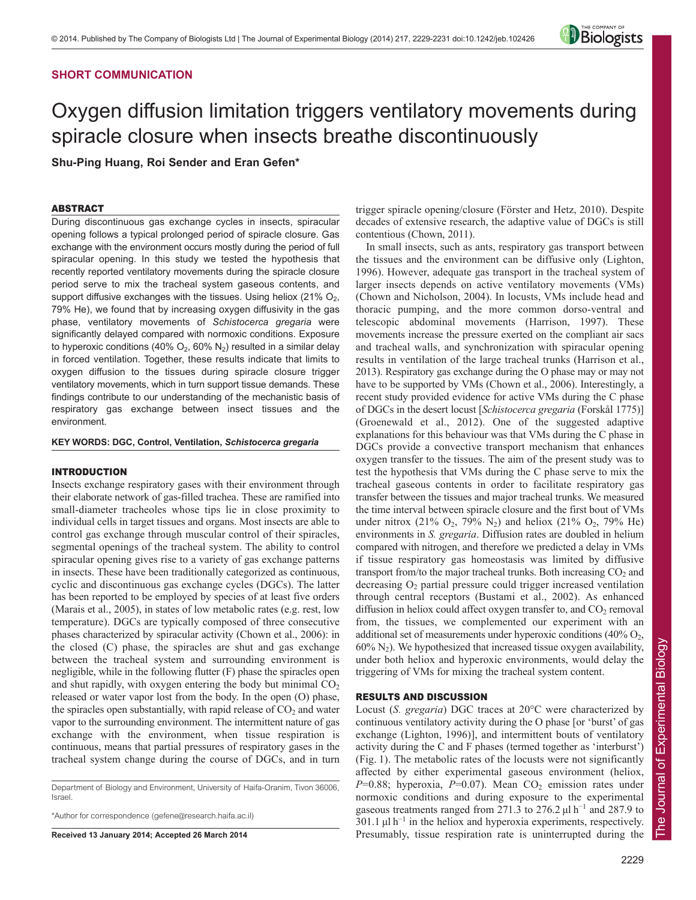# **SHORT COMMUNICATION**



# Oxygen diffusion limitation triggers ventilatory movements during spiracle closure when insects breathe discontinuously

**Shu-Ping Huang, Roi Sender and Eran Gefen\***

## ABSTRACT

During discontinuous gas exchange cycles in insects, spiracular opening follows a typical prolonged period of spiracle closure. Gas exchange with the environment occurs mostly during the period of full spiracular opening. In this study we tested the hypothesis that recently reported ventilatory movements during the spiracle closure period serve to mix the tracheal system gaseous contents, and support diffusive exchanges with the tissues. Using heliox  $(21\% \text{ O}_2)$ , 79% He), we found that by increasing oxygen diffusivity in the gas phase, ventilatory movements of *Schistocerca gregaria* were significantly delayed compared with normoxic conditions. Exposure to hyperoxic conditions (40%  $O_2$ , 60%  $N_2$ ) resulted in a similar delay in forced ventilation. Together, these results indicate that limits to oxygen diffusion to the tissues during spiracle closure trigger ventilatory movements, which in turn support tissue demands. These findings contribute to our understanding of the mechanistic basis of respiratory gas exchange between insect tissues and the environment.

#### **KEY WORDS: DGC, Control, Ventilation,** *Schistocerca gregaria*

#### INTRODUCTION

Insects exchange respiratory gases with their environment through their elaborate network of gas-filled trachea. These are ramified into small-diameter tracheoles whose tips lie in close proximity to individual cells in target tissues and organs. Most insects are able to control gas exchange through muscular control of their spiracles, segmental openings of the tracheal system. The ability to control spiracular opening gives rise to a variety of gas exchange patterns in insects. These have been traditionally categorized as continuous, cyclic and discontinuous gas exchange cycles (DGCs). The latter has been reported to be employed by species of at least five orders (Marais et al., 2005), in states of low metabolic rates (e.g. rest, low temperature). DGCs are typically composed of three consecutive phases characterized by spiracular activity (Chown et al., 2006): in the closed (C) phase, the spiracles are shut and gas exchange between the tracheal system and surrounding environment is negligible, while in the following flutter (F) phase the spiracles open and shut rapidly, with oxygen entering the body but minimal  $CO<sub>2</sub>$ released or water vapor lost from the body. In the open (O) phase, the spiracles open substantially, with rapid release of  $CO<sub>2</sub>$  and water vapor to the surrounding environment. The intermittent nature of gas exchange with the environment, when tissue respiration is continuous, means that partial pressures of respiratory gases in the tracheal system change during the course of DGCs, and in turn

Department of Biology and Environment, University of Haifa-Oranim, Tivon 36006, Israel.

\*Author for correspondence (gefene@research.haifa.ac.il)

**Received 13 January 2014; Accepted 26 March 2014**

trigger spiracle opening/closure (Förster and Hetz, 2010). Despite decades of extensive research, the adaptive value of DGCs is still contentious (Chown, 2011).

In small insects, such as ants, respiratory gas transport between the tissues and the environment can be diffusive only (Lighton, 1996). However, adequate gas transport in the tracheal system of larger insects depends on active ventilatory movements (VMs) (Chown and Nicholson, 2004). In locusts, VMs include head and thoracic pumping, and the more common dorso-ventral and telescopic abdominal movements (Harrison, 1997). These movements increase the pressure exerted on the compliant air sacs and tracheal walls, and synchronization with spiracular opening results in ventilation of the large tracheal trunks (Harrison et al., 2013). Respiratory gas exchange during the O phase may or may not have to be supported by VMs (Chown et al., 2006). Interestingly, a recent study provided evidence for active VMs during the C phase of DGCs in the desert locust [*Schistocerca gregaria* (Forskål 1775)] (Groenewald et al., 2012). One of the suggested adaptive explanations for this behaviour was that VMs during the C phase in DGCs provide a convective transport mechanism that enhances oxygen transfer to the tissues. The aim of the present study was to test the hypothesis that VMs during the C phase serve to mix the tracheal gaseous contents in order to facilitate respiratory gas transfer between the tissues and major tracheal trunks. We measured the time interval between spiracle closure and the first bout of VMs under nitrox (21%  $O_2$ , 79% N<sub>2</sub>) and heliox (21%  $O_2$ , 79% He) environments in *S. gregaria*. Diffusion rates are doubled in helium compared with nitrogen, and therefore we predicted a delay in VMs if tissue respiratory gas homeostasis was limited by diffusive transport from/to the major tracheal trunks. Both increasing  $CO<sub>2</sub>$  and  $\alpha$  decreasing  $\alpha$  partial pressure could trigger increased ventilation through central receptors (Bustami et al., 2002). As enhanced diffusion in heliox could affect oxygen transfer to, and  $CO<sub>2</sub>$  removal from, the tissues, we complemented our experiment with an additional set of measurements under hyperoxic conditions  $(40\% \text{ O}_2,$  $60\%$  N<sub>2</sub>). We hypothesized that increased tissue oxygen availability, under both heliox and hyperoxic environments, would delay the triggering of VMs for mixing the tracheal system content.

### RESULTS AND DISCUSSION

Locust (*S. gregaria*) DGC traces at 20°C were characterized by continuous ventilatory activity during the O phase [or 'burst' of gas exchange (Lighton, 1996)], and intermittent bouts of ventilatory activity during the C and F phases (termed together as 'interburst') (Fig. 1). The metabolic rates of the locusts were not significantly affected by either experimental gaseous environment (heliox,  $P=0.88$ ; hyperoxia,  $P=0.07$ ). Mean  $CO<sub>2</sub>$  emission rates under normoxic conditions and during exposure to the experimental gaseous treatments ranged from 271.3 to 276.2  $\mu$ l h<sup>-1</sup> and 287.9 to  $301.1 \mu l h^{-1}$  in the heliox and hyperoxia experiments, respectively. Presumably, tissue respiration rate is uninterrupted during the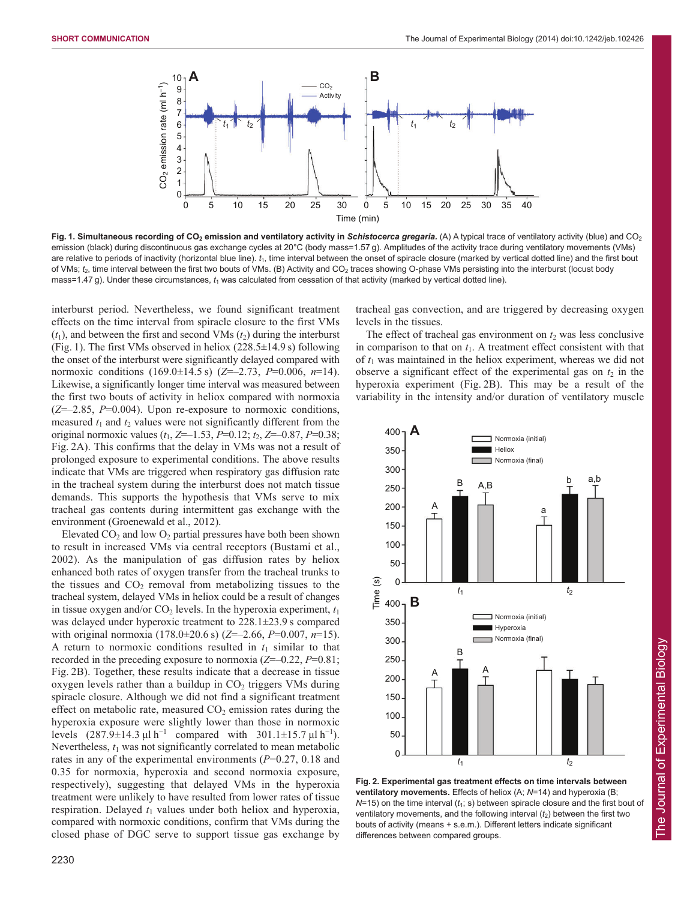

Fig. 1. Simultaneous recording of CO<sub>2</sub> emission and ventilatory activity in Schistocerca gregaria. (A) A typical trace of ventilatory activity (blue) and CO<sub>2</sub> emission (black) during discontinuous gas exchange cycles at 20°C (body mass=1.57 g). Amplitudes of the activity trace during ventilatory movements (VMs) are relative to periods of inactivity (horizontal blue line).  $t_1$ , time interval between the onset of spiracle closure (marked by vertical dotted line) and the first bout of VMs; *t*2, time interval between the first two bouts of VMs. (B) Activity and CO2 traces showing O-phase VMs persisting into the interburst (locust body mass=1.47 g). Under these circumstances,  $t_1$  was calculated from cessation of that activity (marked by vertical dotted line).

interburst period. Nevertheless, we found significant treatment effects on the time interval from spiracle closure to the first VMs  $(t_1)$ , and between the first and second VMs  $(t_2)$  during the interburst (Fig. 1). The first VMs observed in heliox  $(228.5\pm14.9 \text{ s})$  following the onset of the interburst were significantly delayed compared with normoxic conditions (169.0±14.5 s) (*Z*=–2.73, *P*=0.006, *n*=14). Likewise, a significantly longer time interval was measured between the first two bouts of activity in heliox compared with normoxia (*Z*=–2.85, *P*=0.004). Upon re-exposure to normoxic conditions, measured  $t_1$  and  $t_2$  values were not significantly different from the original normoxic values  $(t_1, Z=-1.53, P=0.12; t_2, Z=-0.87, P=0.38;$ Fig. 2A). This confirms that the delay in VMs was not a result of prolonged exposure to experimental conditions. The above results indicate that VMs are triggered when respiratory gas diffusion rate in the tracheal system during the interburst does not match tissue demands. This supports the hypothesis that VMs serve to mix tracheal gas contents during intermittent gas exchange with the environment (Groenewald et al., 2012).

Elevated  $CO<sub>2</sub>$  and low  $O<sub>2</sub>$  partial pressures have both been shown to result in increased VMs via central receptors (Bustami et al., 2002). As the manipulation of gas diffusion rates by heliox enhanced both rates of oxygen transfer from the tracheal trunks to the tissues and  $CO<sub>2</sub>$  removal from metabolizing tissues to the tracheal system, delayed VMs in heliox could be a result of changes in tissue oxygen and/or  $CO<sub>2</sub>$  levels. In the hyperoxia experiment,  $t<sub>1</sub>$ was delayed under hyperoxic treatment to 228.1±23.9 s compared with original normoxia (178.0±20.6 s) (*Z*=–2.66, *P*=0.007, *n*=15). A return to normoxic conditions resulted in  $t_1$  similar to that recorded in the preceding exposure to normoxia (*Z*=–0.22, *P*=0.81; Fig. 2B). Together, these results indicate that a decrease in tissue oxygen levels rather than a buildup in  $CO<sub>2</sub>$  triggers VMs during spiracle closure. Although we did not find a significant treatment effect on metabolic rate, measured  $CO<sub>2</sub>$  emission rates during the hyperoxia exposure were slightly lower than those in normoxic levels  $(287.9 \pm 14.3 \,\mu l \, h^{-1}$  compared with  $301.1 \pm 15.7 \,\mu l \, h^{-1}$ ). Nevertheless,  $t_1$  was not significantly correlated to mean metabolic rates in any of the experimental environments (*P*=0.27, 0.18 and 0.35 for normoxia, hyperoxia and second normoxia exposure, respectively), suggesting that delayed VMs in the hyperoxia treatment were unlikely to have resulted from lower rates of tissue respiration. Delayed  $t_1$  values under both heliox and hyperoxia, compared with normoxic conditions, confirm that VMs during the closed phase of DGC serve to support tissue gas exchange by

2230

tracheal gas convection, and are triggered by decreasing oxygen levels in the tissues.

The effect of tracheal gas environment on  $t_2$  was less conclusive in comparison to that on  $t_1$ . A treatment effect consistent with that of *t*<sup>1</sup> was maintained in the heliox experiment, whereas we did not observe a significant effect of the experimental gas on  $t_2$  in the hyperoxia experiment (Fig. 2B). This may be a result of the variability in the intensity and/or duration of ventilatory muscle



**Fig. 2. Experimental gas treatment effects on time intervals between ventilatory movements.** Effects of heliox (A;  $N=14$ ) and hyperoxia (B;  $N=15$ ) on the time interval ( $t_1$ ; s) between spiracle closure and the first bout of ventilatory movements, and the following interval ( $t_2$ ) between the first two bouts of activity (means + s.e.m.). Different letters indicate significant differences between compared groups.